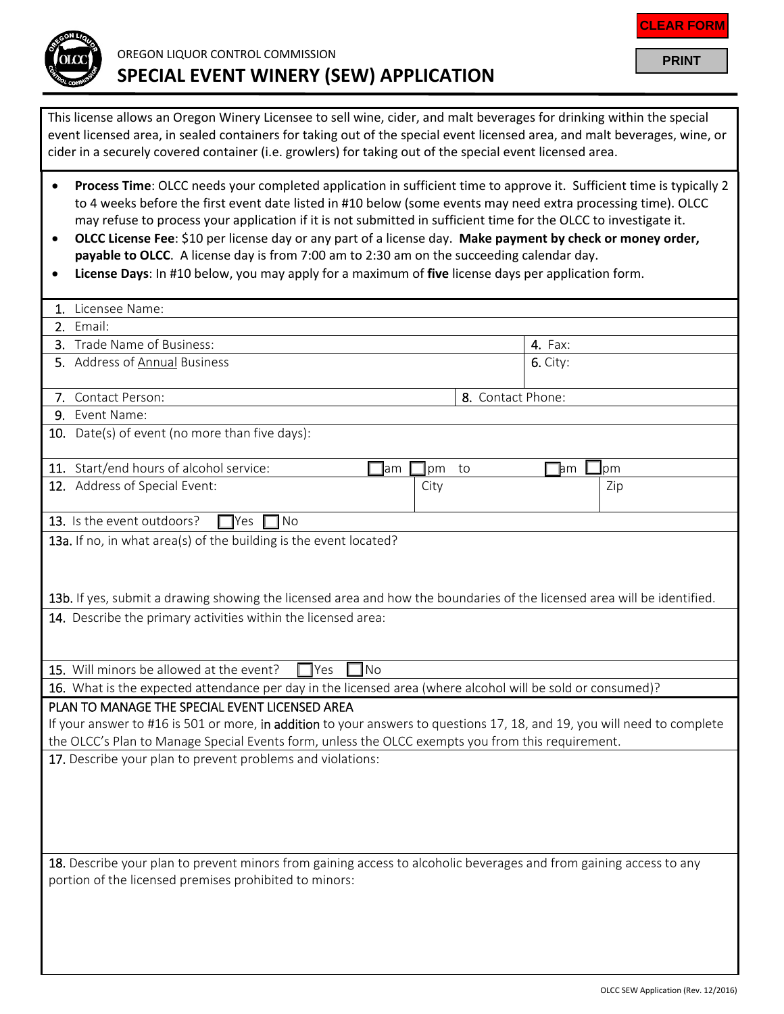

This license allows an Oregon Winery Licensee to sell wine, cider, and malt beverages for drinking within the special event licensed area, in sealed containers for taking out of the special event licensed area, and malt beverages, wine, or cider in a securely covered container (i.e. growlers) for taking out of the special event licensed area.

- **Process Time**: OLCC needs your completed application in sufficient time to approve it. Sufficient time is typically 2 to 4 weeks before the first event date listed in #10 below (some events may need extra processing time). OLCC may refuse to process your application if it is not submitted in sufficient time for the OLCC to investigate it.
- **OLCC License Fee**: \$10 per license day or any part of a license day. **Make payment by check or money order, payable to OLCC**. A license day is from 7:00 am to 2:30 am on the succeeding calendar day.
- **License Days**: In #10 below, you may apply for a maximum of **five** license days per application form.

| 1. Licensee Name:                                                                                                        |                                    |  |
|--------------------------------------------------------------------------------------------------------------------------|------------------------------------|--|
| 2. Email:                                                                                                                |                                    |  |
| 3. Trade Name of Business:                                                                                               | <b>4.</b> Fax:                     |  |
| 5. Address of Annual Business                                                                                            | $6.$ City:                         |  |
|                                                                                                                          |                                    |  |
| 7. Contact Person:                                                                                                       | 8. Contact Phone:                  |  |
| 9. Event Name:                                                                                                           |                                    |  |
| 10. Date(s) of event (no more than five days):                                                                           |                                    |  |
| 11. Start/end hours of alcohol service:<br>pm<br>am                                                                      | to<br><b>I</b> pm<br>$\mathsf{hm}$ |  |
| 12. Address of Special Event:<br>City                                                                                    | Zip                                |  |
| 13. Is the event outdoors?<br>No<br>lYes.                                                                                |                                    |  |
| 13a. If no, in what area(s) of the building is the event located?                                                        |                                    |  |
|                                                                                                                          |                                    |  |
|                                                                                                                          |                                    |  |
| 13b. If yes, submit a drawing showing the licensed area and how the boundaries of the licensed area will be identified.  |                                    |  |
| 14. Describe the primary activities within the licensed area:                                                            |                                    |  |
|                                                                                                                          |                                    |  |
|                                                                                                                          |                                    |  |
| <b>No</b><br>15. Will minors be allowed at the event?<br>$\exists$ Yes                                                   |                                    |  |
| 16. What is the expected attendance per day in the licensed area (where alcohol will be sold or consumed)?               |                                    |  |
| PLAN TO MANAGE THE SPECIAL EVENT LICENSED AREA                                                                           |                                    |  |
| If your answer to #16 is 501 or more, in addition to your answers to questions 17, 18, and 19, you will need to complete |                                    |  |
| the OLCC's Plan to Manage Special Events form, unless the OLCC exempts you from this requirement.                        |                                    |  |
| 17. Describe your plan to prevent problems and violations:                                                               |                                    |  |
|                                                                                                                          |                                    |  |
|                                                                                                                          |                                    |  |
|                                                                                                                          |                                    |  |
|                                                                                                                          |                                    |  |
|                                                                                                                          |                                    |  |
| 18. Describe your plan to prevent minors from gaining access to alcoholic beverages and from gaining access to any       |                                    |  |
| portion of the licensed premises prohibited to minors:                                                                   |                                    |  |
|                                                                                                                          |                                    |  |
|                                                                                                                          |                                    |  |
|                                                                                                                          |                                    |  |

**PRINT**

**CLEAR FORM**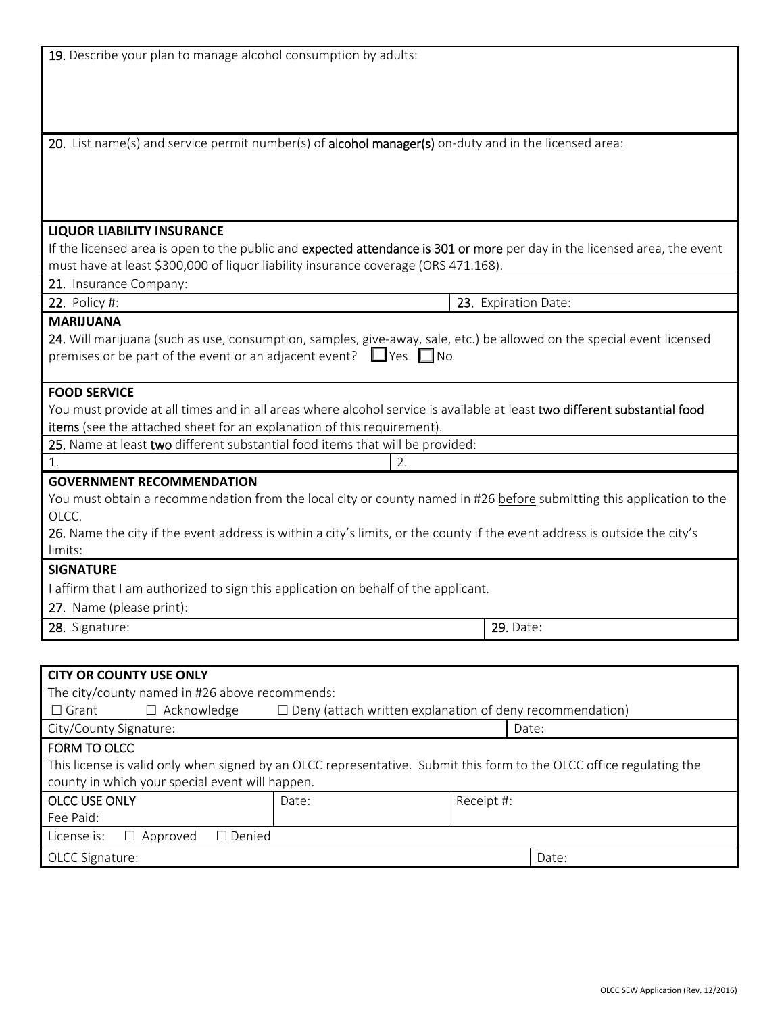| 19. Describe your plan to manage alcohol consumption by adults:                                                                                           |                      |  |
|-----------------------------------------------------------------------------------------------------------------------------------------------------------|----------------------|--|
|                                                                                                                                                           |                      |  |
|                                                                                                                                                           |                      |  |
|                                                                                                                                                           |                      |  |
|                                                                                                                                                           |                      |  |
| 20. List name(s) and service permit number(s) of alcohol manager(s) on-duty and in the licensed area:                                                     |                      |  |
|                                                                                                                                                           |                      |  |
|                                                                                                                                                           |                      |  |
|                                                                                                                                                           |                      |  |
| <b>LIQUOR LIABILITY INSURANCE</b>                                                                                                                         |                      |  |
| If the licensed area is open to the public and expected attendance is 301 or more per day in the licensed area, the event                                 |                      |  |
| must have at least \$300,000 of liquor liability insurance coverage (ORS 471.168).                                                                        |                      |  |
| 21. Insurance Company:                                                                                                                                    |                      |  |
| <b>22.</b> Policy #:                                                                                                                                      | 23. Expiration Date: |  |
| <b>MARIJUANA</b>                                                                                                                                          |                      |  |
| 24. Will marijuana (such as use, consumption, samples, give-away, sale, etc.) be allowed on the special event licensed                                    |                      |  |
| premises or be part of the event or an adjacent event? $\Box$ Yes $\Box$ No                                                                               |                      |  |
|                                                                                                                                                           |                      |  |
| <b>FOOD SERVICE</b>                                                                                                                                       |                      |  |
| You must provide at all times and in all areas where alcohol service is available at least two different substantial food                                 |                      |  |
| items (see the attached sheet for an explanation of this requirement).                                                                                    |                      |  |
| 25. Name at least two different substantial food items that will be provided:                                                                             |                      |  |
| 1.<br>2.                                                                                                                                                  |                      |  |
| <b>GOVERNMENT RECOMMENDATION</b><br>You must obtain a recommendation from the local city or county named in #26 before submitting this application to the |                      |  |
| OLCC.                                                                                                                                                     |                      |  |
| 26. Name the city if the event address is within a city's limits, or the county if the event address is outside the city's                                |                      |  |
| limits:                                                                                                                                                   |                      |  |
| <b>SIGNATURE</b>                                                                                                                                          |                      |  |
| I affirm that I am authorized to sign this application on behalf of the applicant.                                                                        |                      |  |
| 27. Name (please print):                                                                                                                                  |                      |  |
| 28. Signature:                                                                                                                                            | 29. Date:            |  |
|                                                                                                                                                           |                      |  |
|                                                                                                                                                           |                      |  |
| <b>CITY OR COUNTY USE ONLY</b>                                                                                                                            |                      |  |
| The city/county named in #26 above recommends:<br>$\Box$ Grant<br>$\Box$ Acknowledge<br>$\Box$ Deny (attach written explanation of deny recommendation)   |                      |  |
| City/County Signature:<br>Date:                                                                                                                           |                      |  |
| FORM TO OLCC                                                                                                                                              |                      |  |
| This license is valid only when signed by an OLCC representative. Submit this form to the OLCC office regulating the                                      |                      |  |
| county in which your special event will happen.                                                                                                           |                      |  |
| <b>OLCC USE ONLY</b><br>Date:                                                                                                                             | Receipt #:           |  |
| Fee Paid:                                                                                                                                                 |                      |  |
| $\square$ Denied<br>License is:<br>$\Box$ Approved                                                                                                        |                      |  |
| OLCC Signature:                                                                                                                                           | Date:                |  |